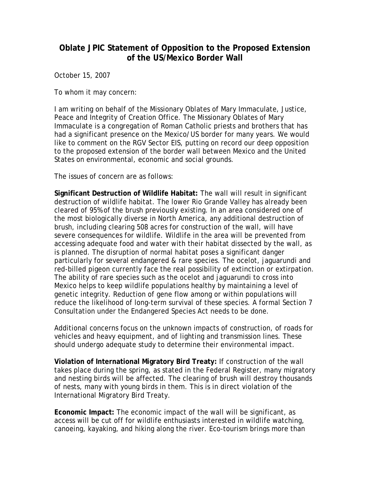## **Oblate JPIC Statement of Opposition to the Proposed Extension of the US/Mexico Border Wall**

October 15, 2007

To whom it may concern:

I am writing on behalf of the Missionary Oblates of Mary Immaculate, Justice, Peace and Integrity of Creation Office. The Missionary Oblates of Mary Immaculate is a congregation of Roman Catholic priests and brothers that has had a significant presence on the Mexico/US border for many years. We would like to comment on the RGV Sector EIS, putting on record our deep opposition to the proposed extension of the border wall between Mexico and the United States on environmental, economic and social grounds.

The issues of concern are as follows:

**Significant Destruction of Wildlife Habitat:** The wall will result in significant destruction of wildlife habitat. The lower Rio Grande Valley has already been cleared of 95% of the brush previously existing. In an area considered one of the most biologically diverse in North America, any additional destruction of brush, including clearing 508 acres for construction of the wall, will have severe consequences for wildlife. Wildlife in the area will be prevented from accessing adequate food and water with their habitat dissected by the wall, as is planned. The disruption of normal habitat poses a significant danger particularly for several endangered & rare species. The ocelot, jaguarundi and red-billed pigeon currently face the real possibility of extinction or extirpation. The ability of rare species such as the ocelot and jaguarundi to cross into Mexico helps to keep wildlife populations healthy by maintaining a level of genetic integrity. Reduction of gene flow among or within populations will reduce the likelihood of long-term survival of these species. A formal Section 7 Consultation under the Endangered Species Act needs to be done.

Additional concerns focus on the unknown impacts of construction, of roads for vehicles and heavy equipment, and of lighting and transmission lines. These should undergo adequate study to determine their environmental impact.

**Violation of International Migratory Bird Treaty:** If construction of the wall takes place during the spring, as stated in the Federal Register, many migratory and nesting birds will be affected. The clearing of brush will destroy thousands of nests, many with young birds in them. This is in direct violation of the International Migratory Bird Treaty.

**Economic Impact:** The economic impact of the wall will be significant, as access will be cut off for wildlife enthusiasts interested in wildlife watching, canoeing, kayaking, and hiking along the river. Eco-tourism brings more than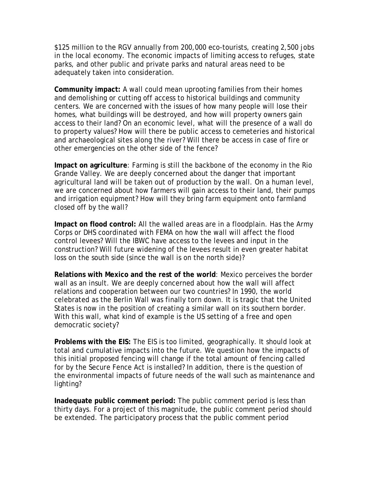\$125 million to the RGV annually from 200,000 eco-tourists, creating 2,500 jobs in the local economy. The economic impacts of limiting access to refuges, state parks, and other public and private parks and natural areas need to be adequately taken into consideration.

**Community impact:** A wall could mean uprooting families from their homes and demolishing or cutting off access to historical buildings and community centers. We are concerned with the issues of how many people will lose their homes, what buildings will be destroyed, and how will property owners gain access to their land? On an economic level, what will the presence of a wall do to property values? How will there be public access to cemeteries and historical and archaeological sites along the river? Will there be access in case of fire or other emergencies on the other side of the fence?

**Impact on agriculture**: Farming is still the backbone of the economy in the Rio Grande Valley. We are deeply concerned about the danger that important agricultural land will be taken out of production by the wall. On a human level, we are concerned about how farmers will gain access to their land, their pumps and irrigation equipment? How will they bring farm equipment onto farmland closed off by the wall?

**Impact on flood control:** All the walled areas are in a floodplain. Has the Army Corps or DHS coordinated with FEMA on how the wall will affect the flood control levees? Will the IBWC have access to the levees and input in the construction? Will future widening of the levees result in even greater habitat loss on the south side (since the wall is on the north side)?

**Relations with Mexico and the rest of the world**: Mexico perceives the border wall as an insult. We are deeply concerned about how the wall will affect relations and cooperation between our two countries? In 1990, the world celebrated as the Berlin Wall was finally torn down. It is tragic that the United States is now in the position of creating a similar wall on its southern border. With this wall, what kind of example is the US setting of a free and open democratic society?

**Problems with the EIS:** The EIS is too limited, geographically. It should look at total and cumulative impacts into the future. We question how the impacts of this initial proposed fencing will change if the total amount of fencing called for by the Secure Fence Act is installed? In addition, there is the question of the environmental impacts of future needs of the wall such as maintenance and lighting?

**Inadequate public comment period:** The public comment period is less than thirty days. For a project of this magnitude, the public comment period should be extended. The participatory process that the public comment period